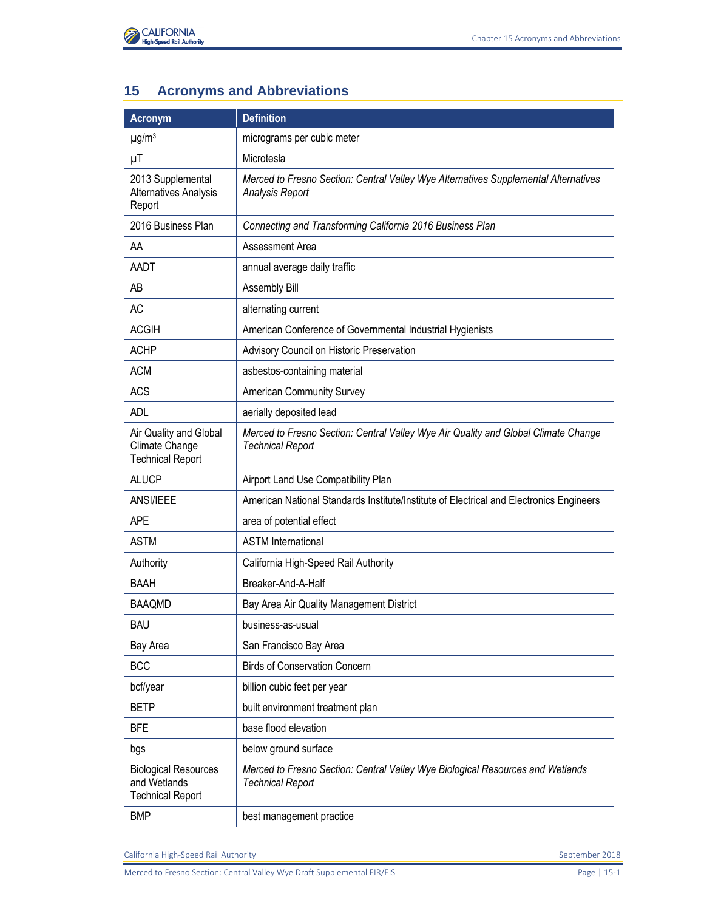

## **15 Acronyms and Abbreviations**

| <b>Acronym</b>                                                         | <b>Definition</b>                                                                                             |
|------------------------------------------------------------------------|---------------------------------------------------------------------------------------------------------------|
| $\mu$ g/m <sup>3</sup>                                                 | micrograms per cubic meter                                                                                    |
| μT                                                                     | Microtesla                                                                                                    |
| 2013 Supplemental<br>Alternatives Analysis<br>Report                   | Merced to Fresno Section: Central Valley Wye Alternatives Supplemental Alternatives<br>Analysis Report        |
| 2016 Business Plan                                                     | Connecting and Transforming California 2016 Business Plan                                                     |
| AA                                                                     | Assessment Area                                                                                               |
| AADT                                                                   | annual average daily traffic                                                                                  |
| AB                                                                     | Assembly Bill                                                                                                 |
| <b>AC</b>                                                              | alternating current                                                                                           |
| <b>ACGIH</b>                                                           | American Conference of Governmental Industrial Hygienists                                                     |
| <b>ACHP</b>                                                            | Advisory Council on Historic Preservation                                                                     |
| <b>ACM</b>                                                             | asbestos-containing material                                                                                  |
| <b>ACS</b>                                                             | <b>American Community Survey</b>                                                                              |
| <b>ADL</b>                                                             | aerially deposited lead                                                                                       |
| Air Quality and Global<br>Climate Change<br><b>Technical Report</b>    | Merced to Fresno Section: Central Valley Wye Air Quality and Global Climate Change<br><b>Technical Report</b> |
| <b>ALUCP</b>                                                           | Airport Land Use Compatibility Plan                                                                           |
| ANSI/IEEE                                                              | American National Standards Institute/Institute of Electrical and Electronics Engineers                       |
| <b>APE</b>                                                             | area of potential effect                                                                                      |
| <b>ASTM</b>                                                            | <b>ASTM</b> International                                                                                     |
| Authority                                                              | California High-Speed Rail Authority                                                                          |
| <b>BAAH</b>                                                            | Breaker-And-A-Half                                                                                            |
| <b>BAAQMD</b>                                                          | Bay Area Air Quality Management District                                                                      |
| <b>BAU</b>                                                             | business-as-usual                                                                                             |
| Bay Area                                                               | San Francisco Bay Area                                                                                        |
| <b>BCC</b>                                                             | <b>Birds of Conservation Concern</b>                                                                          |
| bcf/year                                                               | billion cubic feet per year                                                                                   |
| <b>BETP</b>                                                            | built environment treatment plan                                                                              |
| <b>BFE</b>                                                             | base flood elevation                                                                                          |
| bgs                                                                    | below ground surface                                                                                          |
| <b>Biological Resources</b><br>and Wetlands<br><b>Technical Report</b> | Merced to Fresno Section: Central Valley Wye Biological Resources and Wetlands<br><b>Technical Report</b>     |
| <b>BMP</b>                                                             | best management practice                                                                                      |

California High-Speed Rail Authority **September 2018** September 2018

Merced to Fresno Section: Central Valley Wye Draft Supplemental EIR/EIS Page | 15-1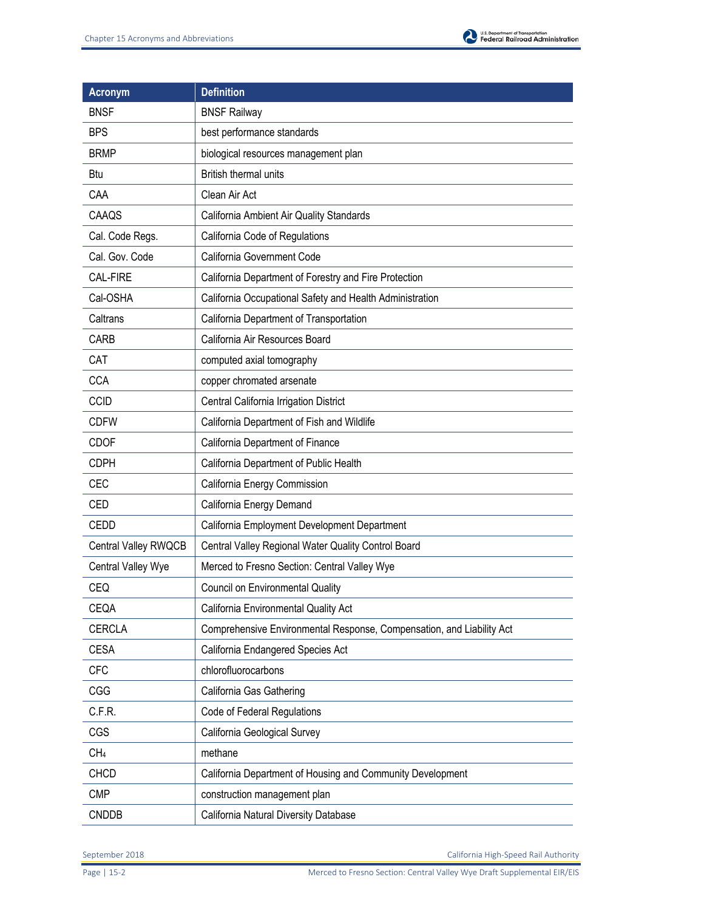

| <b>Acronym</b>       | <b>Definition</b>                                                     |
|----------------------|-----------------------------------------------------------------------|
| <b>BNSF</b>          | <b>BNSF Railway</b>                                                   |
| <b>BPS</b>           | best performance standards                                            |
| <b>BRMP</b>          | biological resources management plan                                  |
| Btu                  | British thermal units                                                 |
| CAA                  | Clean Air Act                                                         |
| CAAQS                | California Ambient Air Quality Standards                              |
| Cal. Code Regs.      | California Code of Regulations                                        |
| Cal. Gov. Code       | California Government Code                                            |
| <b>CAL-FIRE</b>      | California Department of Forestry and Fire Protection                 |
| Cal-OSHA             | California Occupational Safety and Health Administration              |
| Caltrans             | California Department of Transportation                               |
| CARB                 | California Air Resources Board                                        |
| CAT                  | computed axial tomography                                             |
| <b>CCA</b>           | copper chromated arsenate                                             |
| <b>CCID</b>          | Central California Irrigation District                                |
| <b>CDFW</b>          | California Department of Fish and Wildlife                            |
| <b>CDOF</b>          | California Department of Finance                                      |
| <b>CDPH</b>          | California Department of Public Health                                |
| <b>CEC</b>           | California Energy Commission                                          |
| <b>CED</b>           | California Energy Demand                                              |
| <b>CEDD</b>          | California Employment Development Department                          |
| Central Valley RWQCB | Central Valley Regional Water Quality Control Board                   |
| Central Valley Wye   | Merced to Fresno Section: Central Valley Wye                          |
| CEQ                  | Council on Environmental Quality                                      |
| CEQA                 | California Environmental Quality Act                                  |
| <b>CERCLA</b>        | Comprehensive Environmental Response, Compensation, and Liability Act |
| <b>CESA</b>          | California Endangered Species Act                                     |
| <b>CFC</b>           | chlorofluorocarbons                                                   |
| CGG                  | California Gas Gathering                                              |
| C.F.R.               | Code of Federal Regulations                                           |
| CGS                  | California Geological Survey                                          |
| CH <sub>4</sub>      | methane                                                               |
| <b>CHCD</b>          | California Department of Housing and Community Development            |
| <b>CMP</b>           | construction management plan                                          |
| <b>CNDDB</b>         | California Natural Diversity Database                                 |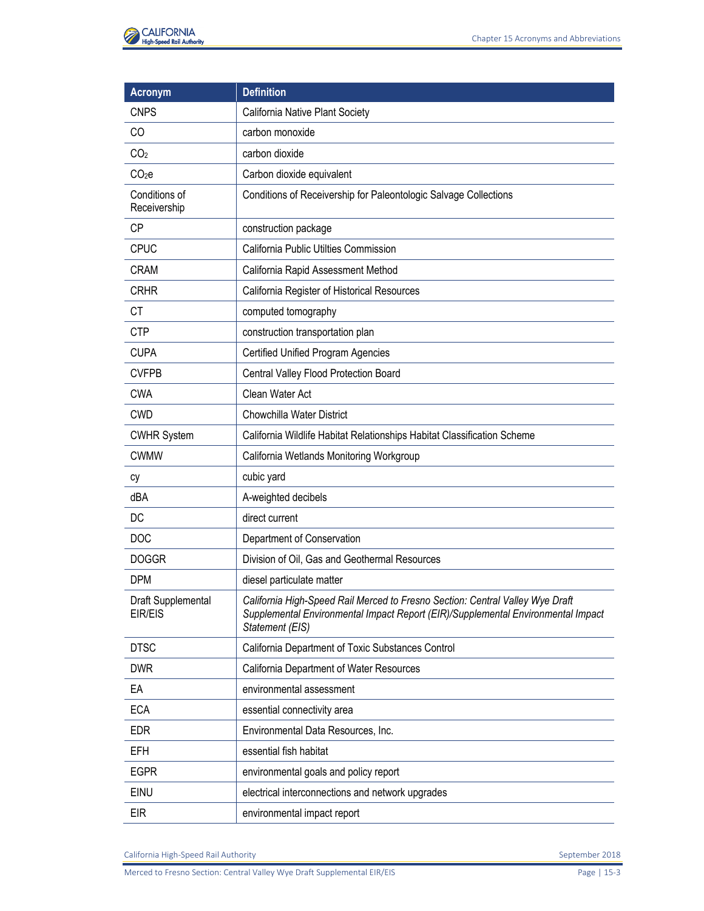

| <b>Acronym</b>                | <b>Definition</b>                                                                                                                                                                    |
|-------------------------------|--------------------------------------------------------------------------------------------------------------------------------------------------------------------------------------|
| <b>CNPS</b>                   | California Native Plant Society                                                                                                                                                      |
| CO                            | carbon monoxide                                                                                                                                                                      |
| CO <sub>2</sub>               | carbon dioxide                                                                                                                                                                       |
| CO <sub>2</sub> e             | Carbon dioxide equivalent                                                                                                                                                            |
| Conditions of<br>Receivership | Conditions of Receivership for Paleontologic Salvage Collections                                                                                                                     |
| <b>CP</b>                     | construction package                                                                                                                                                                 |
| <b>CPUC</b>                   | California Public Utilties Commission                                                                                                                                                |
| <b>CRAM</b>                   | California Rapid Assessment Method                                                                                                                                                   |
| <b>CRHR</b>                   | California Register of Historical Resources                                                                                                                                          |
| <b>CT</b>                     | computed tomography                                                                                                                                                                  |
| <b>CTP</b>                    | construction transportation plan                                                                                                                                                     |
| <b>CUPA</b>                   | <b>Certified Unified Program Agencies</b>                                                                                                                                            |
| <b>CVFPB</b>                  | Central Valley Flood Protection Board                                                                                                                                                |
| <b>CWA</b>                    | Clean Water Act                                                                                                                                                                      |
| <b>CWD</b>                    | Chowchilla Water District                                                                                                                                                            |
| <b>CWHR System</b>            | California Wildlife Habitat Relationships Habitat Classification Scheme                                                                                                              |
| <b>CWMW</b>                   | California Wetlands Monitoring Workgroup                                                                                                                                             |
| cy                            | cubic yard                                                                                                                                                                           |
| dBA                           | A-weighted decibels                                                                                                                                                                  |
| DC                            | direct current                                                                                                                                                                       |
| <b>DOC</b>                    | Department of Conservation                                                                                                                                                           |
| <b>DOGGR</b>                  | Division of Oil, Gas and Geothermal Resources                                                                                                                                        |
| <b>DPM</b>                    | diesel particulate matter                                                                                                                                                            |
| Draft Supplemental<br>EIR/EIS | California High-Speed Rail Merced to Fresno Section: Central Valley Wye Draft<br>Supplemental Environmental Impact Report (EIR)/Supplemental Environmental Impact<br>Statement (EIS) |
| <b>DTSC</b>                   | California Department of Toxic Substances Control                                                                                                                                    |
| <b>DWR</b>                    | California Department of Water Resources                                                                                                                                             |
| EA                            | environmental assessment                                                                                                                                                             |
| <b>ECA</b>                    | essential connectivity area                                                                                                                                                          |
| <b>EDR</b>                    | Environmental Data Resources, Inc.                                                                                                                                                   |
| <b>EFH</b>                    | essential fish habitat                                                                                                                                                               |
| <b>EGPR</b>                   | environmental goals and policy report                                                                                                                                                |
| EINU                          | electrical interconnections and network upgrades                                                                                                                                     |
| <b>EIR</b>                    | environmental impact report                                                                                                                                                          |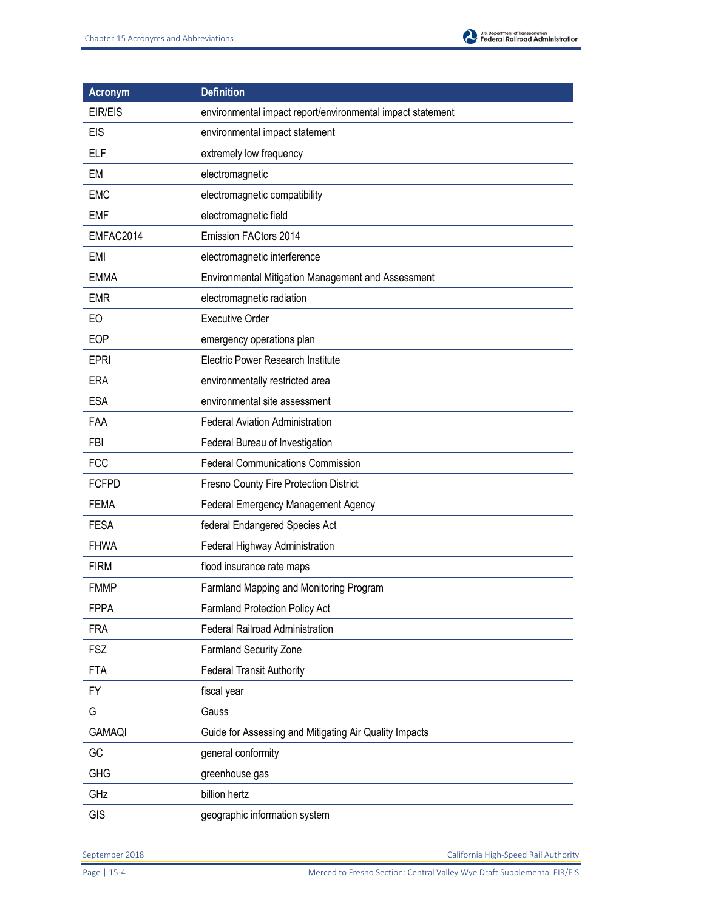

| <b>Acronym</b> | <b>Definition</b>                                          |
|----------------|------------------------------------------------------------|
| <b>EIR/EIS</b> | environmental impact report/environmental impact statement |
| <b>EIS</b>     | environmental impact statement                             |
| <b>ELF</b>     | extremely low frequency                                    |
| EM             | electromagnetic                                            |
| <b>EMC</b>     | electromagnetic compatibility                              |
| <b>EMF</b>     | electromagnetic field                                      |
| EMFAC2014      | Emission FACtors 2014                                      |
| EMI            | electromagnetic interference                               |
| <b>EMMA</b>    | Environmental Mitigation Management and Assessment         |
| <b>EMR</b>     | electromagnetic radiation                                  |
| EO             | <b>Executive Order</b>                                     |
| EOP            | emergency operations plan                                  |
| <b>EPRI</b>    | <b>Electric Power Research Institute</b>                   |
| <b>ERA</b>     | environmentally restricted area                            |
| <b>ESA</b>     | environmental site assessment                              |
| FAA            | <b>Federal Aviation Administration</b>                     |
| <b>FBI</b>     | Federal Bureau of Investigation                            |
| <b>FCC</b>     | <b>Federal Communications Commission</b>                   |
| <b>FCFPD</b>   | Fresno County Fire Protection District                     |
| <b>FEMA</b>    | Federal Emergency Management Agency                        |
| <b>FESA</b>    | federal Endangered Species Act                             |
| <b>FHWA</b>    | Federal Highway Administration                             |
| <b>FIRM</b>    | flood insurance rate maps                                  |
| <b>FMMP</b>    | Farmland Mapping and Monitoring Program                    |
| <b>FPPA</b>    | Farmland Protection Policy Act                             |
| <b>FRA</b>     | Federal Railroad Administration                            |
| <b>FSZ</b>     | Farmland Security Zone                                     |
| <b>FTA</b>     | <b>Federal Transit Authority</b>                           |
| FY             | fiscal year                                                |
| G              | Gauss                                                      |
| <b>GAMAQI</b>  | Guide for Assessing and Mitigating Air Quality Impacts     |
| GC             | general conformity                                         |
| <b>GHG</b>     | greenhouse gas                                             |
| GHz            | billion hertz                                              |
| <b>GIS</b>     | geographic information system                              |

Page | 15-4 Merced to Fresno Section: Central Valley Wye Draft Supplemental EIR/EIS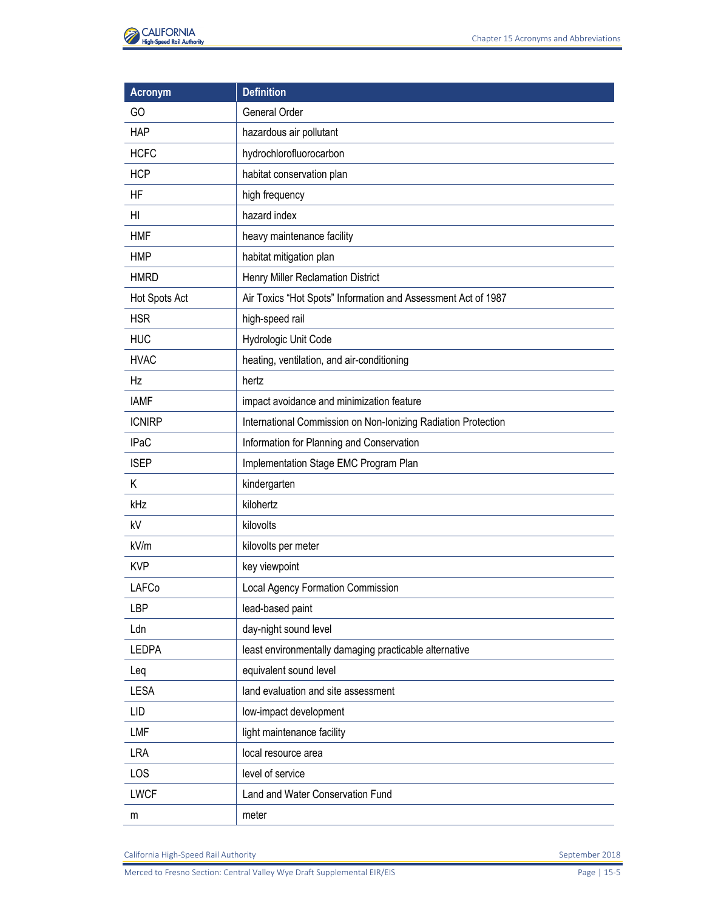

| <b>Acronym</b> | <b>Definition</b>                                             |
|----------------|---------------------------------------------------------------|
| GO             | General Order                                                 |
| <b>HAP</b>     | hazardous air pollutant                                       |
| <b>HCFC</b>    | hydrochlorofluorocarbon                                       |
| <b>HCP</b>     | habitat conservation plan                                     |
| <b>HF</b>      | high frequency                                                |
| H <sub>l</sub> | hazard index                                                  |
| <b>HMF</b>     | heavy maintenance facility                                    |
| <b>HMP</b>     | habitat mitigation plan                                       |
| <b>HMRD</b>    | Henry Miller Reclamation District                             |
| Hot Spots Act  | Air Toxics "Hot Spots" Information and Assessment Act of 1987 |
| <b>HSR</b>     | high-speed rail                                               |
| <b>HUC</b>     | Hydrologic Unit Code                                          |
| <b>HVAC</b>    | heating, ventilation, and air-conditioning                    |
| Hz             | hertz                                                         |
| <b>IAMF</b>    | impact avoidance and minimization feature                     |
| <b>ICNIRP</b>  | International Commission on Non-Ionizing Radiation Protection |
| <b>IPaC</b>    | Information for Planning and Conservation                     |
| <b>ISEP</b>    | Implementation Stage EMC Program Plan                         |
| K              | kindergarten                                                  |
| kHz            | kilohertz                                                     |
| kV             | kilovolts                                                     |
| kV/m           | kilovolts per meter                                           |
| <b>KVP</b>     | key viewpoint                                                 |
| LAFCo          | Local Agency Formation Commission                             |
| <b>LBP</b>     | lead-based paint                                              |
| Ldn            | day-night sound level                                         |
| <b>LEDPA</b>   | least environmentally damaging practicable alternative        |
| Leq            | equivalent sound level                                        |
| <b>LESA</b>    | land evaluation and site assessment                           |
| <b>LID</b>     | low-impact development                                        |
| <b>LMF</b>     | light maintenance facility                                    |
| <b>LRA</b>     | local resource area                                           |
| LOS            | level of service                                              |
| <b>LWCF</b>    | Land and Water Conservation Fund                              |
| m              | meter                                                         |

Merced to Fresno Section: Central Valley Wye Draft Supplemental EIR/EIS Page 15-5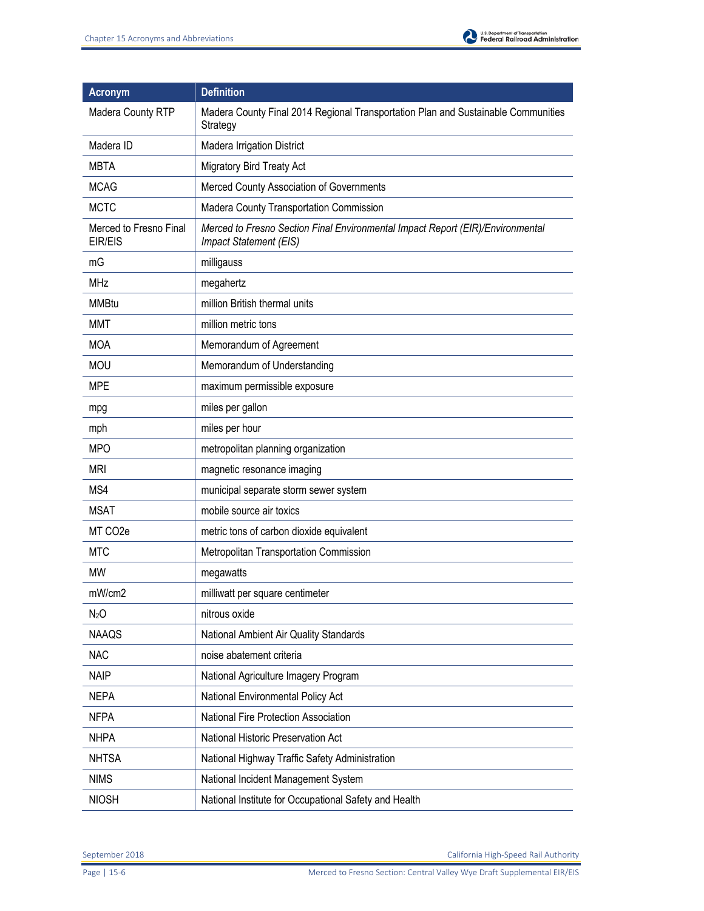

| <b>Acronym</b>                    | <b>Definition</b>                                                                                        |
|-----------------------------------|----------------------------------------------------------------------------------------------------------|
| Madera County RTP                 | Madera County Final 2014 Regional Transportation Plan and Sustainable Communities<br>Strategy            |
| Madera ID                         | Madera Irrigation District                                                                               |
| <b>MBTA</b>                       | <b>Migratory Bird Treaty Act</b>                                                                         |
| <b>MCAG</b>                       | Merced County Association of Governments                                                                 |
| <b>MCTC</b>                       | Madera County Transportation Commission                                                                  |
| Merced to Fresno Final<br>EIR/EIS | Merced to Fresno Section Final Environmental Impact Report (EIR)/Environmental<br>Impact Statement (EIS) |
| mG                                | milligauss                                                                                               |
| <b>MHz</b>                        | megahertz                                                                                                |
| <b>MMBtu</b>                      | million British thermal units                                                                            |
| MMT                               | million metric tons                                                                                      |
| <b>MOA</b>                        | Memorandum of Agreement                                                                                  |
| <b>MOU</b>                        | Memorandum of Understanding                                                                              |
| <b>MPE</b>                        | maximum permissible exposure                                                                             |
| mpg                               | miles per gallon                                                                                         |
| mph                               | miles per hour                                                                                           |
| <b>MPO</b>                        | metropolitan planning organization                                                                       |
| mri                               | magnetic resonance imaging                                                                               |
| MS4                               | municipal separate storm sewer system                                                                    |
| <b>MSAT</b>                       | mobile source air toxics                                                                                 |
| MT CO <sub>2</sub> e              | metric tons of carbon dioxide equivalent                                                                 |
| <b>MTC</b>                        | Metropolitan Transportation Commission                                                                   |
| <b>MW</b>                         | megawatts                                                                                                |
| mW/cm2                            | milliwatt per square centimeter                                                                          |
| N <sub>2</sub> O                  | nitrous oxide                                                                                            |
| <b>NAAQS</b>                      | National Ambient Air Quality Standards                                                                   |
| <b>NAC</b>                        | noise abatement criteria                                                                                 |
| <b>NAIP</b>                       | National Agriculture Imagery Program                                                                     |
| <b>NEPA</b>                       | National Environmental Policy Act                                                                        |
| <b>NFPA</b>                       | National Fire Protection Association                                                                     |
| <b>NHPA</b>                       | National Historic Preservation Act                                                                       |
| <b>NHTSA</b>                      | National Highway Traffic Safety Administration                                                           |
| <b>NIMS</b>                       | National Incident Management System                                                                      |
| <b>NIOSH</b>                      | National Institute for Occupational Safety and Health                                                    |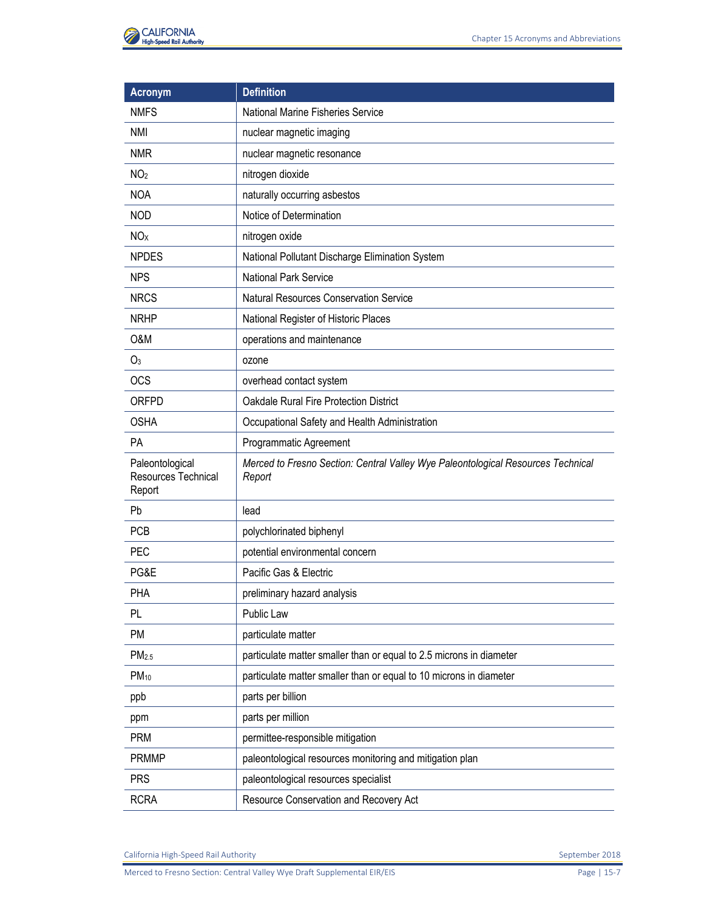| <b>Acronym</b>                                          | <b>Definition</b>                                                                          |
|---------------------------------------------------------|--------------------------------------------------------------------------------------------|
| <b>NMFS</b>                                             | National Marine Fisheries Service                                                          |
| NMI                                                     | nuclear magnetic imaging                                                                   |
| <b>NMR</b>                                              | nuclear magnetic resonance                                                                 |
| NO <sub>2</sub>                                         | nitrogen dioxide                                                                           |
| <b>NOA</b>                                              | naturally occurring asbestos                                                               |
| <b>NOD</b>                                              | Notice of Determination                                                                    |
| <b>NO</b> <sub>x</sub>                                  | nitrogen oxide                                                                             |
| <b>NPDES</b>                                            | National Pollutant Discharge Elimination System                                            |
| <b>NPS</b>                                              | <b>National Park Service</b>                                                               |
| <b>NRCS</b>                                             | <b>Natural Resources Conservation Service</b>                                              |
| <b>NRHP</b>                                             | National Register of Historic Places                                                       |
| O&M                                                     | operations and maintenance                                                                 |
| O <sub>3</sub>                                          | ozone                                                                                      |
| <b>OCS</b>                                              | overhead contact system                                                                    |
| <b>ORFPD</b>                                            | <b>Oakdale Rural Fire Protection District</b>                                              |
| <b>OSHA</b>                                             | Occupational Safety and Health Administration                                              |
| <b>PA</b>                                               | Programmatic Agreement                                                                     |
| Paleontological<br><b>Resources Technical</b><br>Report | Merced to Fresno Section: Central Valley Wye Paleontological Resources Technical<br>Report |
| Pb                                                      | lead                                                                                       |
| <b>PCB</b>                                              | polychlorinated biphenyl                                                                   |
| PEC                                                     | potential environmental concern                                                            |
| PG&E                                                    | Pacific Gas & Electric                                                                     |
| PHA                                                     | preliminary hazard analysis                                                                |
| PL.                                                     | Public Law                                                                                 |
| <b>PM</b>                                               | particulate matter                                                                         |
| PM <sub>2.5</sub>                                       | particulate matter smaller than or equal to 2.5 microns in diameter                        |
| $PM_{10}$                                               | particulate matter smaller than or equal to 10 microns in diameter                         |
| ppb                                                     | parts per billion                                                                          |
| ppm                                                     | parts per million                                                                          |
| <b>PRM</b>                                              | permittee-responsible mitigation                                                           |
| <b>PRMMP</b>                                            | paleontological resources monitoring and mitigation plan                                   |
| <b>PRS</b>                                              | paleontological resources specialist                                                       |
| <b>RCRA</b>                                             | Resource Conservation and Recovery Act                                                     |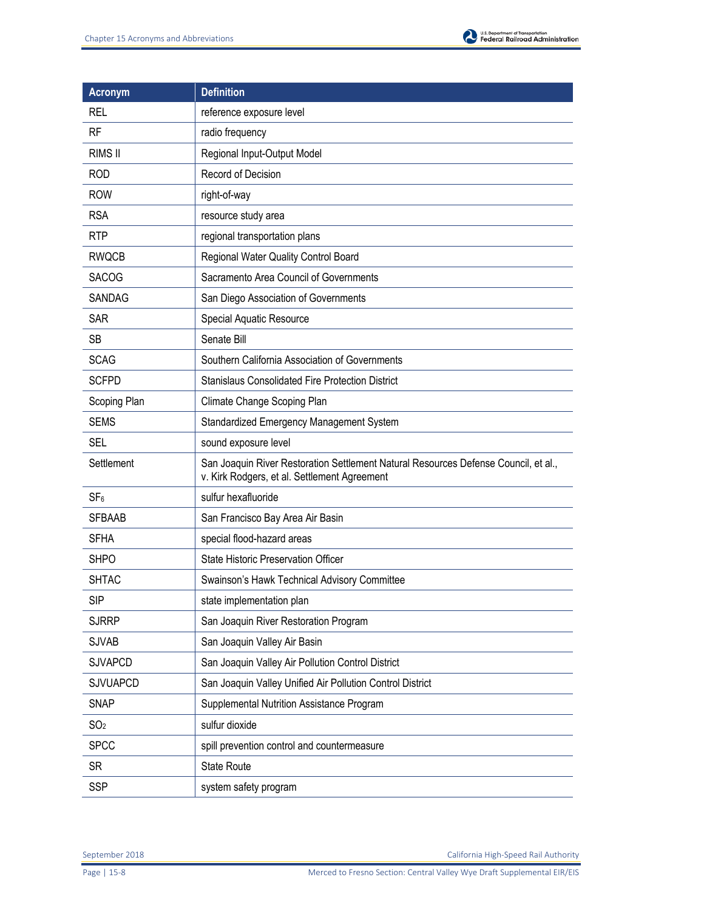

| <b>Acronym</b>  | <b>Definition</b>                                                                                                                   |
|-----------------|-------------------------------------------------------------------------------------------------------------------------------------|
| <b>REL</b>      | reference exposure level                                                                                                            |
| <b>RF</b>       | radio frequency                                                                                                                     |
| <b>RIMS II</b>  | Regional Input-Output Model                                                                                                         |
| <b>ROD</b>      | Record of Decision                                                                                                                  |
| <b>ROW</b>      | right-of-way                                                                                                                        |
| <b>RSA</b>      | resource study area                                                                                                                 |
| <b>RTP</b>      | regional transportation plans                                                                                                       |
| <b>RWQCB</b>    | Regional Water Quality Control Board                                                                                                |
| <b>SACOG</b>    | Sacramento Area Council of Governments                                                                                              |
| <b>SANDAG</b>   | San Diego Association of Governments                                                                                                |
| <b>SAR</b>      | Special Aquatic Resource                                                                                                            |
| <b>SB</b>       | Senate Bill                                                                                                                         |
| <b>SCAG</b>     | Southern California Association of Governments                                                                                      |
| <b>SCFPD</b>    | <b>Stanislaus Consolidated Fire Protection District</b>                                                                             |
| Scoping Plan    | Climate Change Scoping Plan                                                                                                         |
| <b>SEMS</b>     | Standardized Emergency Management System                                                                                            |
| <b>SEL</b>      | sound exposure level                                                                                                                |
| Settlement      | San Joaquin River Restoration Settlement Natural Resources Defense Council, et al.,<br>v. Kirk Rodgers, et al. Settlement Agreement |
| SF <sub>6</sub> | sulfur hexafluoride                                                                                                                 |
| <b>SFBAAB</b>   | San Francisco Bay Area Air Basin                                                                                                    |
| <b>SFHA</b>     | special flood-hazard areas                                                                                                          |
| <b>SHPO</b>     | State Historic Preservation Officer                                                                                                 |
| <b>SHTAC</b>    | Swainson's Hawk Technical Advisory Committee                                                                                        |
| <b>SIP</b>      | state implementation plan                                                                                                           |
| <b>SJRRP</b>    | San Joaquin River Restoration Program                                                                                               |
| <b>SJVAB</b>    | San Joaquin Valley Air Basin                                                                                                        |
| <b>SJVAPCD</b>  | San Joaquin Valley Air Pollution Control District                                                                                   |
| <b>SJVUAPCD</b> | San Joaquin Valley Unified Air Pollution Control District                                                                           |
| <b>SNAP</b>     | Supplemental Nutrition Assistance Program                                                                                           |
| SO <sub>2</sub> | sulfur dioxide                                                                                                                      |
| <b>SPCC</b>     | spill prevention control and countermeasure                                                                                         |
| <b>SR</b>       | <b>State Route</b>                                                                                                                  |
| <b>SSP</b>      | system safety program                                                                                                               |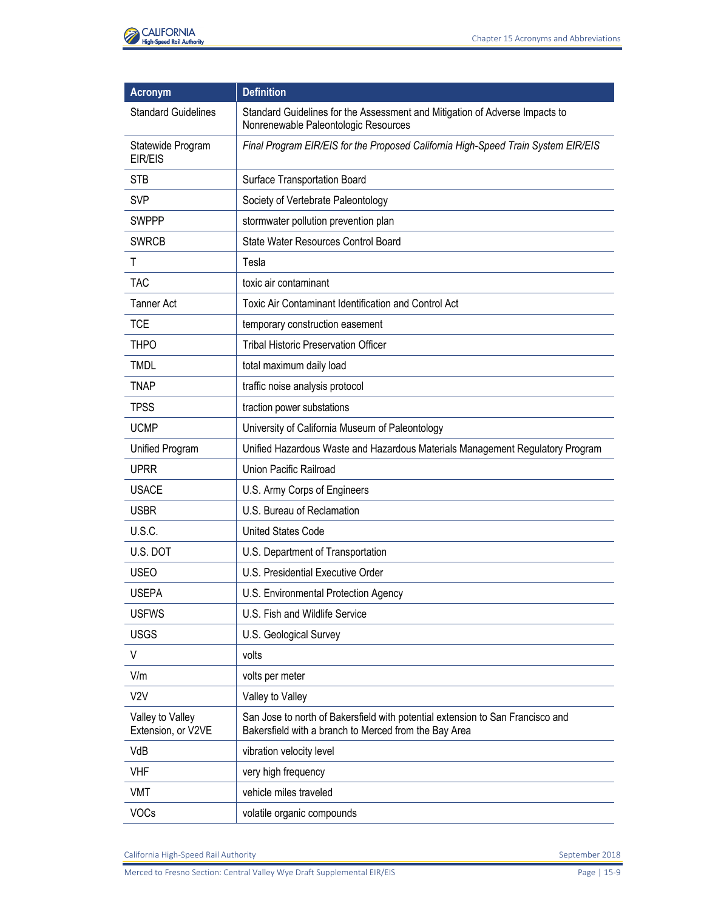

| <b>Acronym</b>                         | <b>Definition</b>                                                                                                                       |
|----------------------------------------|-----------------------------------------------------------------------------------------------------------------------------------------|
| <b>Standard Guidelines</b>             | Standard Guidelines for the Assessment and Mitigation of Adverse Impacts to<br>Nonrenewable Paleontologic Resources                     |
| Statewide Program<br>EIR/EIS           | Final Program EIR/EIS for the Proposed California High-Speed Train System EIR/EIS                                                       |
| <b>STB</b>                             | Surface Transportation Board                                                                                                            |
| <b>SVP</b>                             | Society of Vertebrate Paleontology                                                                                                      |
| <b>SWPPP</b>                           | stormwater pollution prevention plan                                                                                                    |
| <b>SWRCB</b>                           | State Water Resources Control Board                                                                                                     |
| T                                      | Tesla                                                                                                                                   |
| <b>TAC</b>                             | toxic air contaminant                                                                                                                   |
| <b>Tanner Act</b>                      | Toxic Air Contaminant Identification and Control Act                                                                                    |
| <b>TCE</b>                             | temporary construction easement                                                                                                         |
| <b>THPO</b>                            | <b>Tribal Historic Preservation Officer</b>                                                                                             |
| <b>TMDL</b>                            | total maximum daily load                                                                                                                |
| <b>TNAP</b>                            | traffic noise analysis protocol                                                                                                         |
| <b>TPSS</b>                            | traction power substations                                                                                                              |
| <b>UCMP</b>                            | University of California Museum of Paleontology                                                                                         |
| Unified Program                        | Unified Hazardous Waste and Hazardous Materials Management Regulatory Program                                                           |
| <b>UPRR</b>                            | <b>Union Pacific Railroad</b>                                                                                                           |
| <b>USACE</b>                           | U.S. Army Corps of Engineers                                                                                                            |
| <b>USBR</b>                            | U.S. Bureau of Reclamation                                                                                                              |
| U.S.C.                                 | <b>United States Code</b>                                                                                                               |
| U.S. DOT                               | U.S. Department of Transportation                                                                                                       |
| <b>USEO</b>                            | U.S. Presidential Executive Order                                                                                                       |
| <b>USEPA</b>                           | U.S. Environmental Protection Agency                                                                                                    |
| <b>USFWS</b>                           | U.S. Fish and Wildlife Service                                                                                                          |
| <b>USGS</b>                            | U.S. Geological Survey                                                                                                                  |
| $\vee$                                 | volts                                                                                                                                   |
| V/m                                    | volts per meter                                                                                                                         |
| V <sub>2</sub> V                       | Valley to Valley                                                                                                                        |
| Valley to Valley<br>Extension, or V2VE | San Jose to north of Bakersfield with potential extension to San Francisco and<br>Bakersfield with a branch to Merced from the Bay Area |
| VdB                                    | vibration velocity level                                                                                                                |
| <b>VHF</b>                             | very high frequency                                                                                                                     |
| <b>VMT</b>                             | vehicle miles traveled                                                                                                                  |
| VOCs                                   | volatile organic compounds                                                                                                              |